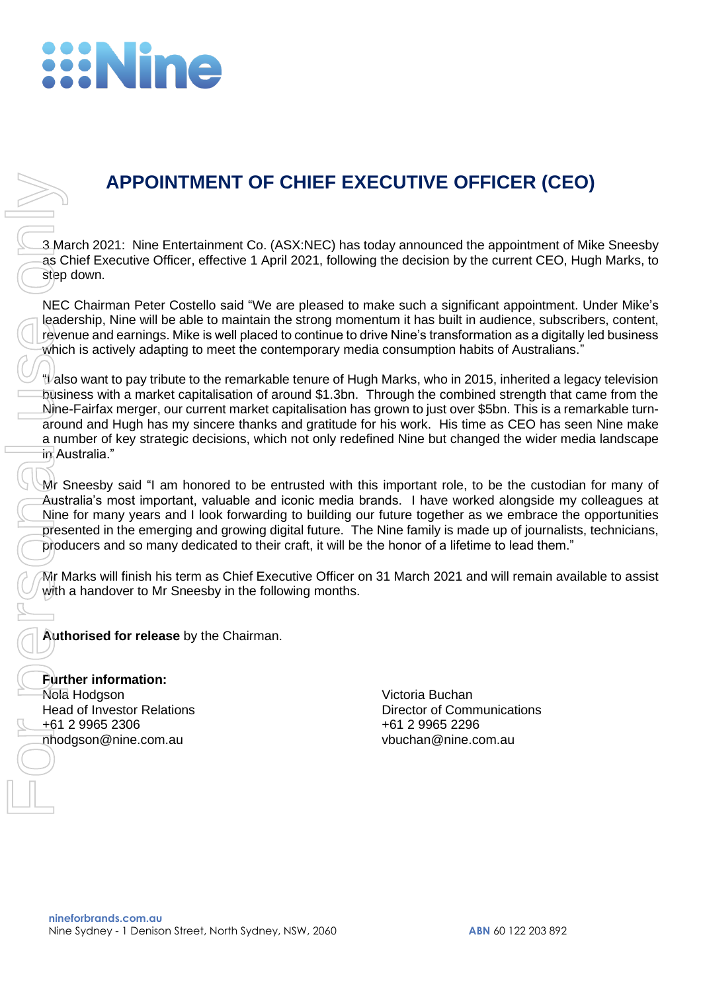## **ENine**

## **APPOINTMENT OF CHIEF EXECUTIVE OFFICER (CEO)**

3 March 2021: Nine Entertainment Co. (ASX:NEC) has today announced the appointment of Mike Sneesby as Chief Executive Officer, effective 1 April 2021, following the decision by the current CEO, Hugh Marks, to step down.

NEC Chairman Peter Costello said "We are pleased to make such a significant appointment. Under Mike's leadership, Nine will be able to maintain the strong momentum it has built in audience, subscribers, content, revenue and earnings. Mike is well placed to continue to drive Nine's transformation as a digitally led business which is actively adapting to meet the contemporary media consumption habits of Australians."

"I also want to pay tribute to the remarkable tenure of Hugh Marks, who in 2015, inherited a legacy television business with a market capitalisation of around \$1.3bn. Through the combined strength that came from the Nine-Fairfax merger, our current market capitalisation has grown to just over \$5bn. This is a remarkable turnaround and Hugh has my sincere thanks and gratitude for his work. His time as CEO has seen Nine make a number of key strategic decisions, which not only redefined Nine but changed the wider media landscape in Australia." **APPOINTMENT OF CHIEF EXECUTIVE OFFICI**<br> **Example 2021:** Nine Entertainment Co. (ASX:NEC) has today amounced the appear<br>
as Chief Executive Officer, effective 1 April 2021, following the decision by the curre<br>
NEC Chairman

Mr Sneesby said "I am honored to be entrusted with this important role, to be the custodian for many of Australia's most important, valuable and iconic media brands. I have worked alongside my colleagues at Nine for many years and I look forwarding to building our future together as we embrace the opportunities presented in the emerging and growing digital future. The Nine family is made up of journalists, technicians, producers and so many dedicated to their craft, it will be the honor of a lifetime to lead them."

Mr Marks will finish his term as Chief Executive Officer on 31 March 2021 and will remain available to assist with a handover to Mr Sneesby in the following months.

**Authorised for release** by the Chairman.

**Further information:** Nola Hodgson Victoria Buchan

+61 2 9965 2306 +61 2 9965 2296

Head of Investor Relations **Director of Communications** Director of Communications